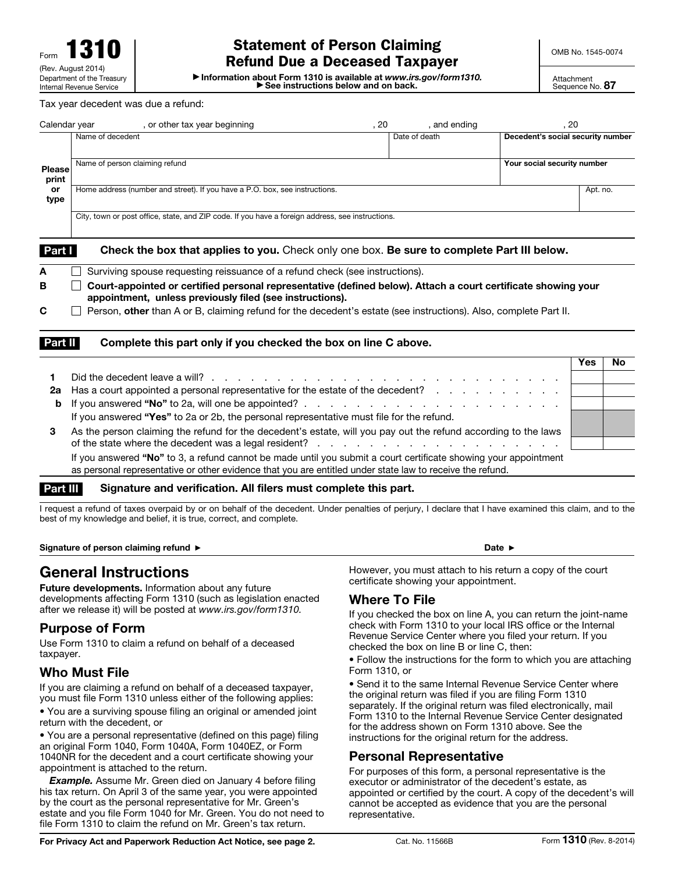# Statement of Person Claiming Refund Due a Deceased Taxpayer

OMB No. 1545-0074

▶ See instructions below and on back. ▶ Information about Form 1310 is available at *www.irs.gov/form1310.*

#### Tax year decedent was due a refund:

| Calendar year                               | , or other tax year beginning                                                                                                                                             | , 20 | , and ending  | . 20                              |              |  |
|---------------------------------------------|---------------------------------------------------------------------------------------------------------------------------------------------------------------------------|------|---------------|-----------------------------------|--------------|--|
| <b>Please</b><br>print<br><b>or</b><br>type | Name of decedent                                                                                                                                                          |      | Date of death | Decedent's social security number |              |  |
|                                             | Name of person claiming refund                                                                                                                                            |      |               | Your social security number       |              |  |
|                                             | Home address (number and street). If you have a P.O. box, see instructions.                                                                                               |      |               |                                   |              |  |
|                                             | City, town or post office, state, and ZIP code. If you have a foreign address, see instructions.                                                                          |      |               |                                   |              |  |
| Part I                                      | Check the box that applies to you. Check only one box. Be sure to complete Part III below.                                                                                |      |               |                                   |              |  |
| А                                           | Surviving spouse requesting reissuance of a refund check (see instructions).                                                                                              |      |               |                                   |              |  |
| в                                           | Court-appointed or certified personal representative (defined below). Attach a court certificate showing your<br>appointment, unless previously filed (see instructions). |      |               |                                   |              |  |
| C                                           | Person, other than A or B, claiming refund for the decedent's estate (see instructions). Also, complete Part II.                                                          |      |               |                                   |              |  |
| <b>Part II</b>                              | Complete this part only if you checked the box on line C above.                                                                                                           |      |               |                                   | $\mathbf{r}$ |  |

| 2а | Has a court appointed a personal representative for the estate of the decedent?                                  |  |
|----|------------------------------------------------------------------------------------------------------------------|--|
|    |                                                                                                                  |  |
|    | If you answered "Yes" to 2a or 2b, the personal representative must file for the refund.                         |  |
| 3  | As the person claiming the refund for the decedent's estate, will you pay out the refund according to the laws   |  |
|    |                                                                                                                  |  |
|    | If you answered "No" to 3, a refund cannot be made until you submit a court certificate showing your appointment |  |

as personal representative or other evidence that you are entitled under state law to receive the refund.

#### Part III Signature and verification. All filers must complete this part.

I request a refund of taxes overpaid by or on behalf of the decedent. Under penalties of perjury, I declare that I have examined this claim, and to the best of my knowledge and belief, it is true, correct, and complete.

Signature of person claiming refund ▶ Date ▶ Date A

# General Instructions

Future developments. Information about any future developments affecting Form 1310 (such as legislation enacted after we release it) will be posted at *www.irs.gov/form1310.*

## Purpose of Form

Use Form 1310 to claim a refund on behalf of a deceased taxpayer.

### Who Must File

If you are claiming a refund on behalf of a deceased taxpayer, you must file Form 1310 unless either of the following applies:

• You are a surviving spouse filing an original or amended joint return with the decedent, or

• You are a personal representative (defined on this page) filing an original Form 1040, Form 1040A, Form 1040EZ, or Form 1040NR for the decedent and a court certificate showing your appointment is attached to the return.

*Example.* Assume Mr. Green died on January 4 before filing his tax return. On April 3 of the same year, you were appointed by the court as the personal representative for Mr. Green's estate and you file Form 1040 for Mr. Green. You do not need to file Form 1310 to claim the refund on Mr. Green's tax return.

However, you must attach to his return a copy of the court certificate showing your appointment.

#### Where To File

If you checked the box on line A, you can return the joint-name check with Form 1310 to your local IRS office or the Internal Revenue Service Center where you filed your return. If you checked the box on line B or line C, then:

• Follow the instructions for the form to which you are attaching Form 1310, or

• Send it to the same Internal Revenue Service Center where the original return was filed if you are filing Form 1310 separately. If the original return was filed electronically, mail Form 1310 to the Internal Revenue Service Center designated for the address shown on Form 1310 above. See the instructions for the original return for the address.

### Personal Representative

For purposes of this form, a personal representative is the executor or administrator of the decedent's estate, as appointed or certified by the court. A copy of the decedent's will cannot be accepted as evidence that you are the personal representative.